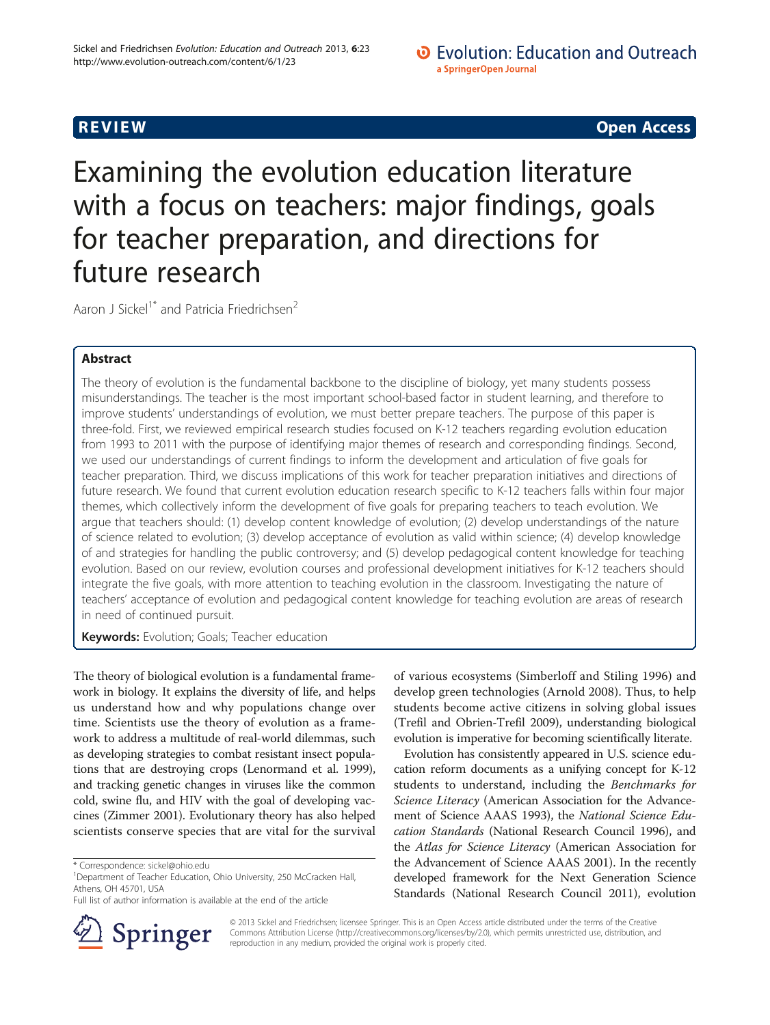# **REVIEW CONSTRUCTION CONSTRUCTION CONSTRUCTS**

Examining the evolution education literature with a focus on teachers: major findings, goals for teacher preparation, and directions for future research

Aaron J Sickel<sup>1\*</sup> and Patricia Friedrichsen<sup>2</sup>

# Abstract

The theory of evolution is the fundamental backbone to the discipline of biology, yet many students possess misunderstandings. The teacher is the most important school-based factor in student learning, and therefore to improve students' understandings of evolution, we must better prepare teachers. The purpose of this paper is three-fold. First, we reviewed empirical research studies focused on K-12 teachers regarding evolution education from 1993 to 2011 with the purpose of identifying major themes of research and corresponding findings. Second, we used our understandings of current findings to inform the development and articulation of five goals for teacher preparation. Third, we discuss implications of this work for teacher preparation initiatives and directions of future research. We found that current evolution education research specific to K-12 teachers falls within four major themes, which collectively inform the development of five goals for preparing teachers to teach evolution. We argue that teachers should: (1) develop content knowledge of evolution; (2) develop understandings of the nature of science related to evolution; (3) develop acceptance of evolution as valid within science; (4) develop knowledge of and strategies for handling the public controversy; and (5) develop pedagogical content knowledge for teaching evolution. Based on our review, evolution courses and professional development initiatives for K-12 teachers should integrate the five goals, with more attention to teaching evolution in the classroom. Investigating the nature of teachers' acceptance of evolution and pedagogical content knowledge for teaching evolution are areas of research in need of continued pursuit.

**Keywords:** Evolution; Goals; Teacher education

The theory of biological evolution is a fundamental framework in biology. It explains the diversity of life, and helps us understand how and why populations change over time. Scientists use the theory of evolution as a framework to address a multitude of real-world dilemmas, such as developing strategies to combat resistant insect populations that are destroying crops (Lenormand et al. [1999](#page-13-0)), and tracking genetic changes in viruses like the common cold, swine flu, and HIV with the goal of developing vaccines (Zimmer [2001](#page-14-0)). Evolutionary theory has also helped scientists conserve species that are vital for the survival



Evolution has consistently appeared in U.S. science education reform documents as a unifying concept for K-12 students to understand, including the Benchmarks for Science Literacy (American Association for the Advancement of Science AAAS [1993\)](#page-12-0), the National Science Education Standards (National Research Council [1996](#page-13-0)), and the Atlas for Science Literacy (American Association for the Advancement of Science AAAS [2001](#page-12-0)). In the recently developed framework for the Next Generation Science Standards (National Research Council [2011](#page-13-0)), evolution



© 2013 Sickel and Friedrichsen; licensee Springer. This is an Open Access article distributed under the terms of the Creative Commons Attribution License (<http://creativecommons.org/licenses/by/2.0>), which permits unrestricted use, distribution, and reproduction in any medium, provided the original work is properly cited.

<sup>\*</sup> Correspondence: [sickel@ohio.edu](mailto:sickel@ohio.edu) <sup>1</sup>

<sup>&</sup>lt;sup>1</sup>Department of Teacher Education, Ohio University, 250 McCracken Hall, Athens, OH 45701, USA

Full list of author information is available at the end of the article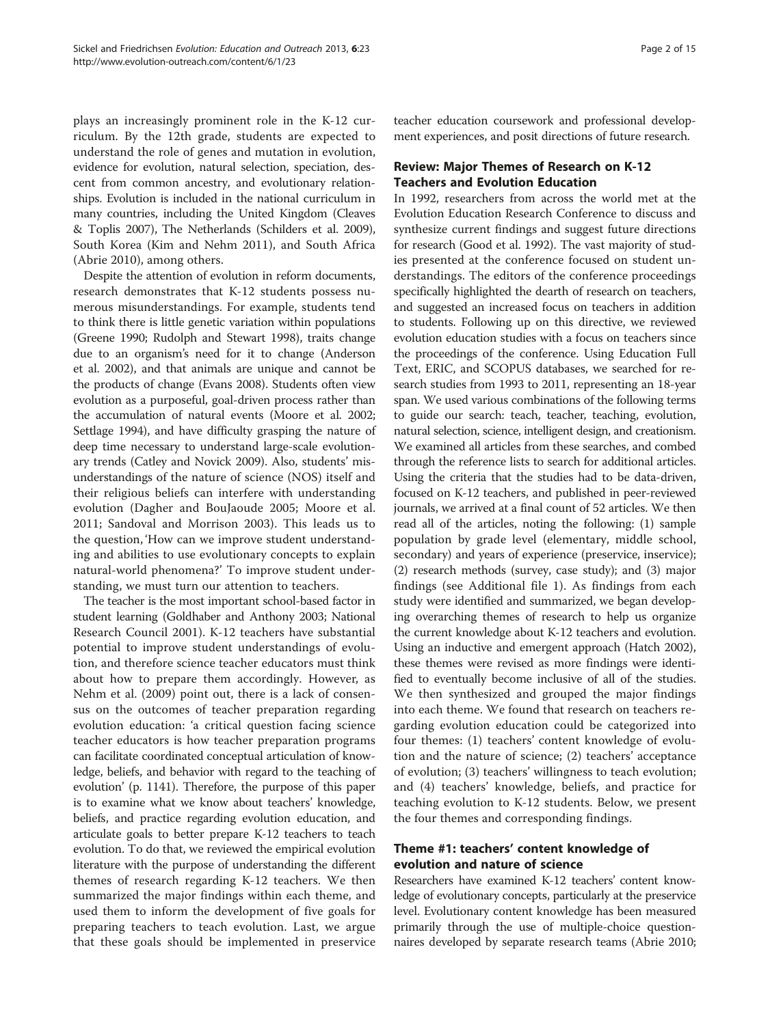plays an increasingly prominent role in the K-12 curriculum. By the 12th grade, students are expected to understand the role of genes and mutation in evolution, evidence for evolution, natural selection, speciation, descent from common ancestry, and evolutionary relationships. Evolution is included in the national curriculum in many countries, including the United Kingdom (Cleaves & Toplis [2007\)](#page-13-0), The Netherlands (Schilders et al. [2009](#page-14-0)), South Korea (Kim and Nehm [2011\)](#page-13-0), and South Africa (Abrie [2010\)](#page-12-0), among others.

Despite the attention of evolution in reform documents, research demonstrates that K-12 students possess numerous misunderstandings. For example, students tend to think there is little genetic variation within populations (Greene [1990](#page-13-0); Rudolph and Stewart [1998\)](#page-14-0), traits change due to an organism's need for it to change (Anderson et al. [2002](#page-12-0)), and that animals are unique and cannot be the products of change (Evans [2008](#page-13-0)). Students often view evolution as a purposeful, goal-driven process rather than the accumulation of natural events (Moore et al. [2002](#page-13-0); Settlage [1994\)](#page-14-0), and have difficulty grasping the nature of deep time necessary to understand large-scale evolutionary trends (Catley and Novick [2009\)](#page-13-0). Also, students' misunderstandings of the nature of science (NOS) itself and their religious beliefs can interfere with understanding evolution (Dagher and BouJaoude [2005;](#page-13-0) Moore et al. [2011;](#page-13-0) Sandoval and Morrison [2003\)](#page-14-0). This leads us to the question, 'How can we improve student understanding and abilities to use evolutionary concepts to explain natural-world phenomena?' To improve student understanding, we must turn our attention to teachers.

The teacher is the most important school-based factor in student learning (Goldhaber and Anthony [2003;](#page-13-0) National Research Council [2001](#page-13-0)). K-12 teachers have substantial potential to improve student understandings of evolution, and therefore science teacher educators must think about how to prepare them accordingly. However, as Nehm et al. ([2009\)](#page-14-0) point out, there is a lack of consensus on the outcomes of teacher preparation regarding evolution education: 'a critical question facing science teacher educators is how teacher preparation programs can facilitate coordinated conceptual articulation of knowledge, beliefs, and behavior with regard to the teaching of evolution' (p. 1141). Therefore, the purpose of this paper is to examine what we know about teachers' knowledge, beliefs, and practice regarding evolution education, and articulate goals to better prepare K-12 teachers to teach evolution. To do that, we reviewed the empirical evolution literature with the purpose of understanding the different themes of research regarding K-12 teachers. We then summarized the major findings within each theme, and used them to inform the development of five goals for preparing teachers to teach evolution. Last, we argue that these goals should be implemented in preservice teacher education coursework and professional development experiences, and posit directions of future research.

## Review: Major Themes of Research on K-12 Teachers and Evolution Education

In 1992, researchers from across the world met at the Evolution Education Research Conference to discuss and synthesize current findings and suggest future directions for research (Good et al. [1992](#page-13-0)). The vast majority of studies presented at the conference focused on student understandings. The editors of the conference proceedings specifically highlighted the dearth of research on teachers, and suggested an increased focus on teachers in addition to students. Following up on this directive, we reviewed evolution education studies with a focus on teachers since the proceedings of the conference. Using Education Full Text, ERIC, and SCOPUS databases, we searched for research studies from 1993 to 2011, representing an 18-year span. We used various combinations of the following terms to guide our search: teach, teacher, teaching, evolution, natural selection, science, intelligent design, and creationism. We examined all articles from these searches, and combed through the reference lists to search for additional articles. Using the criteria that the studies had to be data-driven, focused on K-12 teachers, and published in peer-reviewed journals, we arrived at a final count of 52 articles. We then read all of the articles, noting the following: (1) sample population by grade level (elementary, middle school, secondary) and years of experience (preservice, inservice); (2) research methods (survey, case study); and (3) major findings (see Additional file [1\)](#page-12-0). As findings from each study were identified and summarized, we began developing overarching themes of research to help us organize the current knowledge about K-12 teachers and evolution. Using an inductive and emergent approach (Hatch [2002](#page-13-0)), these themes were revised as more findings were identified to eventually become inclusive of all of the studies. We then synthesized and grouped the major findings into each theme. We found that research on teachers regarding evolution education could be categorized into four themes: (1) teachers' content knowledge of evolution and the nature of science; (2) teachers' acceptance of evolution; (3) teachers' willingness to teach evolution; and (4) teachers' knowledge, beliefs, and practice for teaching evolution to K-12 students. Below, we present the four themes and corresponding findings.

# Theme #1: teachers' content knowledge of evolution and nature of science

Researchers have examined K-12 teachers' content knowledge of evolutionary concepts, particularly at the preservice level. Evolutionary content knowledge has been measured primarily through the use of multiple-choice questionnaires developed by separate research teams (Abrie [2010](#page-12-0);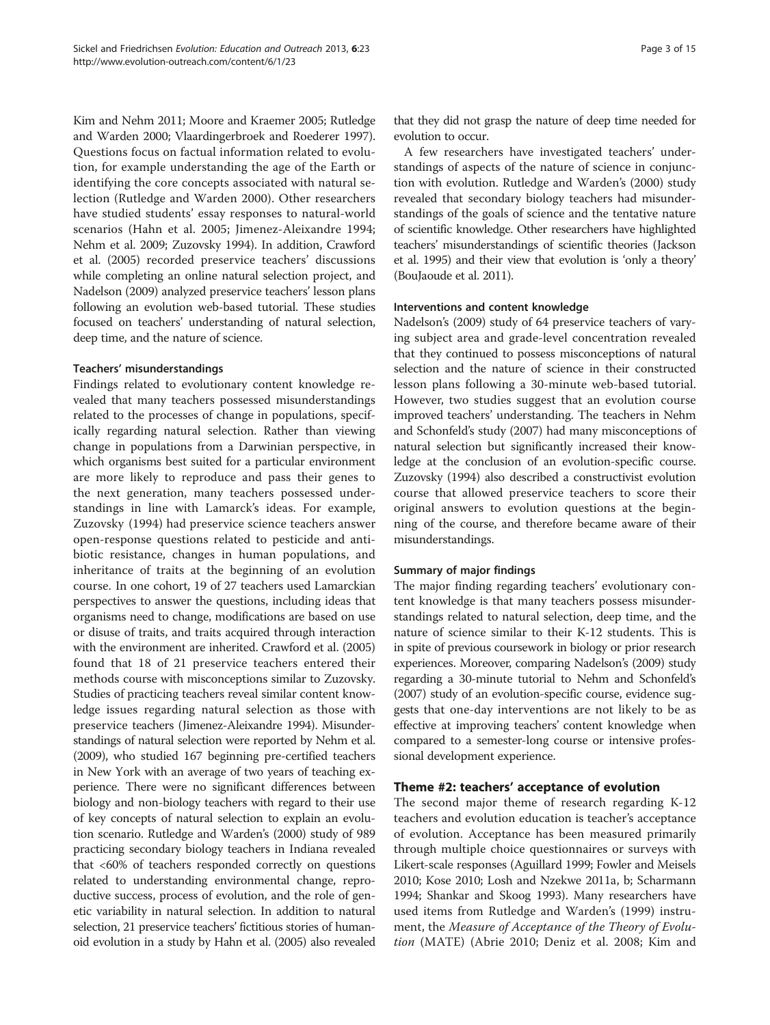Kim and Nehm [2011](#page-13-0); Moore and Kraemer [2005](#page-13-0); Rutledge and Warden [2000;](#page-14-0) Vlaardingerbroek and Roederer [1997](#page-14-0)). Questions focus on factual information related to evolution, for example understanding the age of the Earth or identifying the core concepts associated with natural selection (Rutledge and Warden [2000\)](#page-14-0). Other researchers have studied students' essay responses to natural-world scenarios (Hahn et al. [2005;](#page-13-0) Jimenez-Aleixandre [1994](#page-13-0); Nehm et al. [2009;](#page-14-0) Zuzovsky [1994\)](#page-14-0). In addition, Crawford et al. [\(2005](#page-13-0)) recorded preservice teachers' discussions while completing an online natural selection project, and Nadelson [\(2009](#page-13-0)) analyzed preservice teachers' lesson plans following an evolution web-based tutorial. These studies focused on teachers' understanding of natural selection, deep time, and the nature of science.

#### Teachers' misunderstandings

Findings related to evolutionary content knowledge revealed that many teachers possessed misunderstandings related to the processes of change in populations, specifically regarding natural selection. Rather than viewing change in populations from a Darwinian perspective, in which organisms best suited for a particular environment are more likely to reproduce and pass their genes to the next generation, many teachers possessed understandings in line with Lamarck's ideas. For example, Zuzovsky ([1994\)](#page-14-0) had preservice science teachers answer open-response questions related to pesticide and antibiotic resistance, changes in human populations, and inheritance of traits at the beginning of an evolution course. In one cohort, 19 of 27 teachers used Lamarckian perspectives to answer the questions, including ideas that organisms need to change, modifications are based on use or disuse of traits, and traits acquired through interaction with the environment are inherited. Crawford et al. [\(2005](#page-13-0)) found that 18 of 21 preservice teachers entered their methods course with misconceptions similar to Zuzovsky. Studies of practicing teachers reveal similar content knowledge issues regarding natural selection as those with preservice teachers (Jimenez-Aleixandre [1994\)](#page-13-0). Misunderstandings of natural selection were reported by Nehm et al. ([2009\)](#page-14-0), who studied 167 beginning pre-certified teachers in New York with an average of two years of teaching experience. There were no significant differences between biology and non-biology teachers with regard to their use of key concepts of natural selection to explain an evolution scenario. Rutledge and Warden's ([2000\)](#page-14-0) study of 989 practicing secondary biology teachers in Indiana revealed that <60% of teachers responded correctly on questions related to understanding environmental change, reproductive success, process of evolution, and the role of genetic variability in natural selection. In addition to natural selection, 21 preservice teachers' fictitious stories of humanoid evolution in a study by Hahn et al. [\(2005](#page-13-0)) also revealed

that they did not grasp the nature of deep time needed for evolution to occur.

A few researchers have investigated teachers' understandings of aspects of the nature of science in conjunction with evolution. Rutledge and Warden's ([2000](#page-14-0)) study revealed that secondary biology teachers had misunderstandings of the goals of science and the tentative nature of scientific knowledge. Other researchers have highlighted teachers' misunderstandings of scientific theories (Jackson et al. [1995](#page-13-0)) and their view that evolution is 'only a theory' (BouJaoude et al. [2011](#page-13-0)).

#### Interventions and content knowledge

Nadelson's ([2009\)](#page-13-0) study of 64 preservice teachers of varying subject area and grade-level concentration revealed that they continued to possess misconceptions of natural selection and the nature of science in their constructed lesson plans following a 30-minute web-based tutorial. However, two studies suggest that an evolution course improved teachers' understanding. The teachers in Nehm and Schonfeld's study [\(2007\)](#page-13-0) had many misconceptions of natural selection but significantly increased their knowledge at the conclusion of an evolution-specific course. Zuzovsky [\(1994](#page-14-0)) also described a constructivist evolution course that allowed preservice teachers to score their original answers to evolution questions at the beginning of the course, and therefore became aware of their misunderstandings.

#### Summary of major findings

The major finding regarding teachers' evolutionary content knowledge is that many teachers possess misunderstandings related to natural selection, deep time, and the nature of science similar to their K-12 students. This is in spite of previous coursework in biology or prior research experiences. Moreover, comparing Nadelson's [\(2009](#page-13-0)) study regarding a 30-minute tutorial to Nehm and Schonfeld's ([2007\)](#page-13-0) study of an evolution-specific course, evidence suggests that one-day interventions are not likely to be as effective at improving teachers' content knowledge when compared to a semester-long course or intensive professional development experience.

#### Theme #2: teachers' acceptance of evolution

The second major theme of research regarding K-12 teachers and evolution education is teacher's acceptance of evolution. Acceptance has been measured primarily through multiple choice questionnaires or surveys with Likert-scale responses (Aguillard [1999;](#page-12-0) Fowler and Meisels [2010](#page-13-0); Kose [2010;](#page-13-0) Losh and Nzekwe [2011a](#page-13-0), [b;](#page-13-0) Scharmann [1994](#page-14-0); Shankar and Skoog [1993](#page-14-0)). Many researchers have used items from Rutledge and Warden's [\(1999](#page-14-0)) instrument, the Measure of Acceptance of the Theory of Evolution (MATE) (Abrie [2010;](#page-12-0) Deniz et al. [2008](#page-13-0); Kim and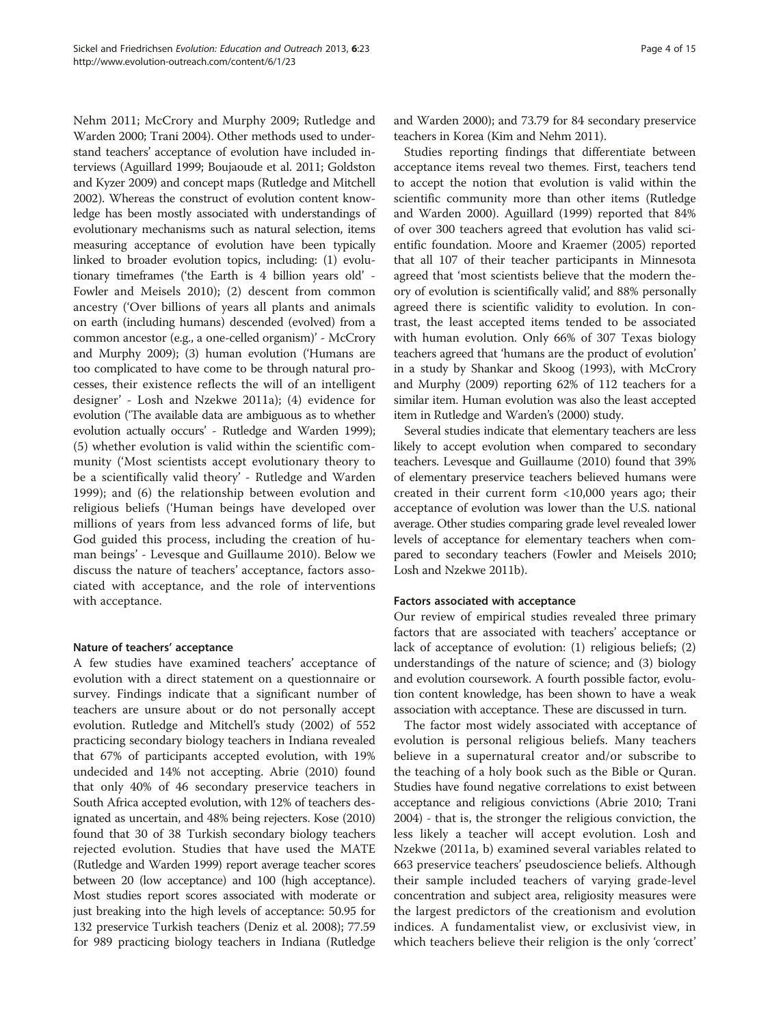Nehm [2011](#page-13-0); McCrory and Murphy [2009](#page-13-0); Rutledge and Warden [2000](#page-14-0); Trani [2004](#page-14-0)). Other methods used to understand teachers' acceptance of evolution have included interviews (Aguillard [1999;](#page-12-0) Boujaoude et al. [2011](#page-13-0); Goldston and Kyzer [2009\)](#page-13-0) and concept maps (Rutledge and Mitchell [2002\)](#page-14-0). Whereas the construct of evolution content knowledge has been mostly associated with understandings of evolutionary mechanisms such as natural selection, items measuring acceptance of evolution have been typically linked to broader evolution topics, including: (1) evolutionary timeframes ('the Earth is 4 billion years old' - Fowler and Meisels [2010\)](#page-13-0); (2) descent from common ancestry ('Over billions of years all plants and animals on earth (including humans) descended (evolved) from a common ancestor (e.g., a one-celled organism)' - McCrory and Murphy [2009\)](#page-13-0); (3) human evolution ('Humans are too complicated to have come to be through natural processes, their existence reflects the will of an intelligent designer' - Losh and Nzekwe [2011a](#page-13-0)); (4) evidence for evolution ('The available data are ambiguous as to whether evolution actually occurs' - Rutledge and Warden [1999](#page-14-0)); (5) whether evolution is valid within the scientific community ('Most scientists accept evolutionary theory to be a scientifically valid theory' - Rutledge and Warden [1999\)](#page-14-0); and (6) the relationship between evolution and religious beliefs ('Human beings have developed over millions of years from less advanced forms of life, but God guided this process, including the creation of human beings' - Levesque and Guillaume [2010](#page-13-0)). Below we discuss the nature of teachers' acceptance, factors associated with acceptance, and the role of interventions with acceptance.

#### Nature of teachers' acceptance

A few studies have examined teachers' acceptance of evolution with a direct statement on a questionnaire or survey. Findings indicate that a significant number of teachers are unsure about or do not personally accept evolution. Rutledge and Mitchell's study ([2002](#page-14-0)) of 552 practicing secondary biology teachers in Indiana revealed that 67% of participants accepted evolution, with 19% undecided and 14% not accepting. Abrie [\(2010\)](#page-12-0) found that only 40% of 46 secondary preservice teachers in South Africa accepted evolution, with 12% of teachers designated as uncertain, and 48% being rejecters. Kose [\(2010](#page-13-0)) found that 30 of 38 Turkish secondary biology teachers rejected evolution. Studies that have used the MATE (Rutledge and Warden [1999\)](#page-14-0) report average teacher scores between 20 (low acceptance) and 100 (high acceptance). Most studies report scores associated with moderate or just breaking into the high levels of acceptance: 50.95 for 132 preservice Turkish teachers (Deniz et al. [2008\)](#page-13-0); 77.59 for 989 practicing biology teachers in Indiana (Rutledge

and Warden [2000](#page-14-0)); and 73.79 for 84 secondary preservice teachers in Korea (Kim and Nehm [2011](#page-13-0)).

Studies reporting findings that differentiate between acceptance items reveal two themes. First, teachers tend to accept the notion that evolution is valid within the scientific community more than other items (Rutledge and Warden [2000\)](#page-14-0). Aguillard ([1999](#page-12-0)) reported that 84% of over 300 teachers agreed that evolution has valid scientific foundation. Moore and Kraemer ([2005\)](#page-13-0) reported that all 107 of their teacher participants in Minnesota agreed that 'most scientists believe that the modern theory of evolution is scientifically valid', and 88% personally agreed there is scientific validity to evolution. In contrast, the least accepted items tended to be associated with human evolution. Only 66% of 307 Texas biology teachers agreed that 'humans are the product of evolution' in a study by Shankar and Skoog ([1993](#page-14-0)), with McCrory and Murphy [\(2009\)](#page-13-0) reporting 62% of 112 teachers for a similar item. Human evolution was also the least accepted item in Rutledge and Warden's [\(2000](#page-14-0)) study.

Several studies indicate that elementary teachers are less likely to accept evolution when compared to secondary teachers. Levesque and Guillaume [\(2010](#page-13-0)) found that 39% of elementary preservice teachers believed humans were created in their current form <10,000 years ago; their acceptance of evolution was lower than the U.S. national average. Other studies comparing grade level revealed lower levels of acceptance for elementary teachers when compared to secondary teachers (Fowler and Meisels [2010](#page-13-0); Losh and Nzekwe [2011b\)](#page-13-0).

#### Factors associated with acceptance

Our review of empirical studies revealed three primary factors that are associated with teachers' acceptance or lack of acceptance of evolution: (1) religious beliefs; (2) understandings of the nature of science; and (3) biology and evolution coursework. A fourth possible factor, evolution content knowledge, has been shown to have a weak association with acceptance. These are discussed in turn.

The factor most widely associated with acceptance of evolution is personal religious beliefs. Many teachers believe in a supernatural creator and/or subscribe to the teaching of a holy book such as the Bible or Quran. Studies have found negative correlations to exist between acceptance and religious convictions (Abrie [2010;](#page-12-0) Trani [2004](#page-14-0)) - that is, the stronger the religious conviction, the less likely a teacher will accept evolution. Losh and Nzekwe ([2011a](#page-13-0), [b\)](#page-13-0) examined several variables related to 663 preservice teachers' pseudoscience beliefs. Although their sample included teachers of varying grade-level concentration and subject area, religiosity measures were the largest predictors of the creationism and evolution indices. A fundamentalist view, or exclusivist view, in which teachers believe their religion is the only 'correct'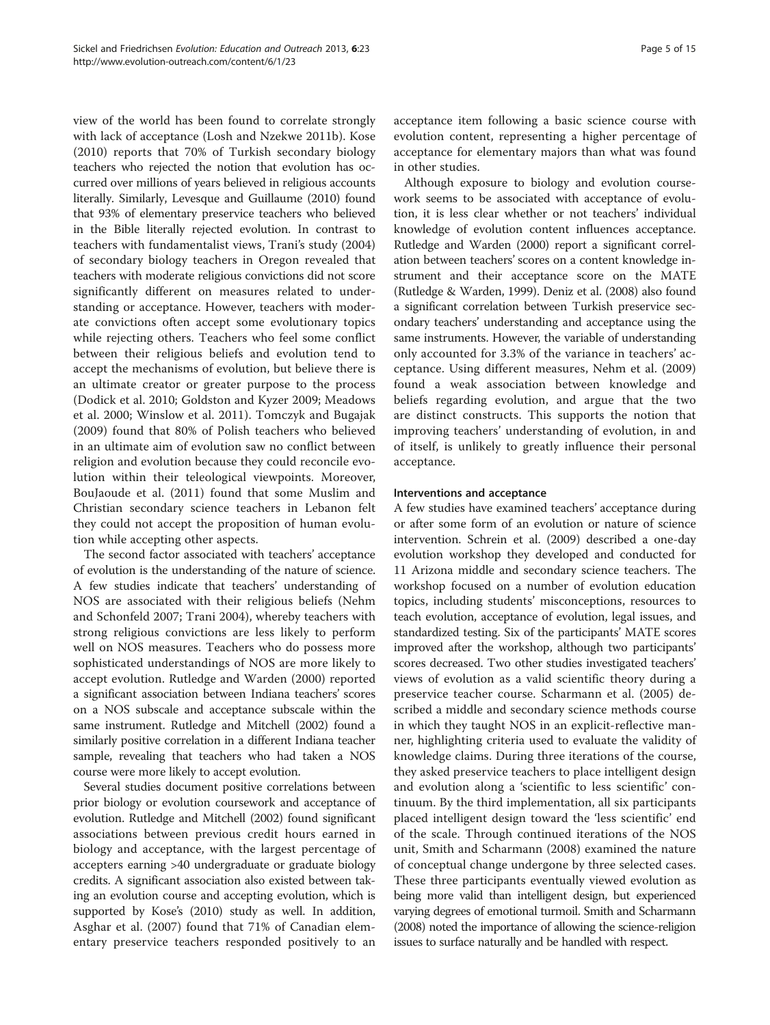view of the world has been found to correlate strongly with lack of acceptance (Losh and Nzekwe [2011b](#page-13-0)). Kose ([2010\)](#page-13-0) reports that 70% of Turkish secondary biology teachers who rejected the notion that evolution has occurred over millions of years believed in religious accounts literally. Similarly, Levesque and Guillaume ([2010](#page-13-0)) found that 93% of elementary preservice teachers who believed in the Bible literally rejected evolution. In contrast to teachers with fundamentalist views, Trani's study [\(2004](#page-14-0)) of secondary biology teachers in Oregon revealed that teachers with moderate religious convictions did not score significantly different on measures related to understanding or acceptance. However, teachers with moderate convictions often accept some evolutionary topics while rejecting others. Teachers who feel some conflict between their religious beliefs and evolution tend to accept the mechanisms of evolution, but believe there is an ultimate creator or greater purpose to the process (Dodick et al. [2010](#page-13-0); Goldston and Kyzer [2009](#page-13-0); Meadows et al. [2000](#page-13-0); Winslow et al. [2011](#page-14-0)). Tomczyk and Bugajak ([2009\)](#page-14-0) found that 80% of Polish teachers who believed in an ultimate aim of evolution saw no conflict between religion and evolution because they could reconcile evolution within their teleological viewpoints. Moreover, BouJaoude et al. ([2011\)](#page-13-0) found that some Muslim and Christian secondary science teachers in Lebanon felt they could not accept the proposition of human evolution while accepting other aspects.

The second factor associated with teachers' acceptance of evolution is the understanding of the nature of science. A few studies indicate that teachers' understanding of NOS are associated with their religious beliefs (Nehm and Schonfeld [2007;](#page-13-0) Trani [2004\)](#page-14-0), whereby teachers with strong religious convictions are less likely to perform well on NOS measures. Teachers who do possess more sophisticated understandings of NOS are more likely to accept evolution. Rutledge and Warden ([2000\)](#page-14-0) reported a significant association between Indiana teachers' scores on a NOS subscale and acceptance subscale within the same instrument. Rutledge and Mitchell ([2002\)](#page-14-0) found a similarly positive correlation in a different Indiana teacher sample, revealing that teachers who had taken a NOS course were more likely to accept evolution.

Several studies document positive correlations between prior biology or evolution coursework and acceptance of evolution. Rutledge and Mitchell ([2002\)](#page-14-0) found significant associations between previous credit hours earned in biology and acceptance, with the largest percentage of accepters earning >40 undergraduate or graduate biology credits. A significant association also existed between taking an evolution course and accepting evolution, which is supported by Kose's [\(2010](#page-13-0)) study as well. In addition, Asghar et al. [\(2007](#page-12-0)) found that 71% of Canadian elementary preservice teachers responded positively to an acceptance item following a basic science course with evolution content, representing a higher percentage of acceptance for elementary majors than what was found in other studies.

Although exposure to biology and evolution coursework seems to be associated with acceptance of evolution, it is less clear whether or not teachers' individual knowledge of evolution content influences acceptance. Rutledge and Warden ([2000\)](#page-14-0) report a significant correlation between teachers' scores on a content knowledge instrument and their acceptance score on the MATE (Rutledge & Warden, [1999](#page-14-0)). Deniz et al. [\(2008\)](#page-13-0) also found a significant correlation between Turkish preservice secondary teachers' understanding and acceptance using the same instruments. However, the variable of understanding only accounted for 3.3% of the variance in teachers' acceptance. Using different measures, Nehm et al. [\(2009](#page-14-0)) found a weak association between knowledge and beliefs regarding evolution, and argue that the two are distinct constructs. This supports the notion that improving teachers' understanding of evolution, in and of itself, is unlikely to greatly influence their personal acceptance.

#### Interventions and acceptance

A few studies have examined teachers' acceptance during or after some form of an evolution or nature of science intervention. Schrein et al. [\(2009\)](#page-14-0) described a one-day evolution workshop they developed and conducted for 11 Arizona middle and secondary science teachers. The workshop focused on a number of evolution education topics, including students' misconceptions, resources to teach evolution, acceptance of evolution, legal issues, and standardized testing. Six of the participants' MATE scores improved after the workshop, although two participants' scores decreased. Two other studies investigated teachers' views of evolution as a valid scientific theory during a preservice teacher course. Scharmann et al. ([2005](#page-14-0)) described a middle and secondary science methods course in which they taught NOS in an explicit-reflective manner, highlighting criteria used to evaluate the validity of knowledge claims. During three iterations of the course, they asked preservice teachers to place intelligent design and evolution along a 'scientific to less scientific' continuum. By the third implementation, all six participants placed intelligent design toward the 'less scientific' end of the scale. Through continued iterations of the NOS unit, Smith and Scharmann [\(2008](#page-14-0)) examined the nature of conceptual change undergone by three selected cases. These three participants eventually viewed evolution as being more valid than intelligent design, but experienced varying degrees of emotional turmoil. Smith and Scharmann ([2008](#page-14-0)) noted the importance of allowing the science-religion issues to surface naturally and be handled with respect.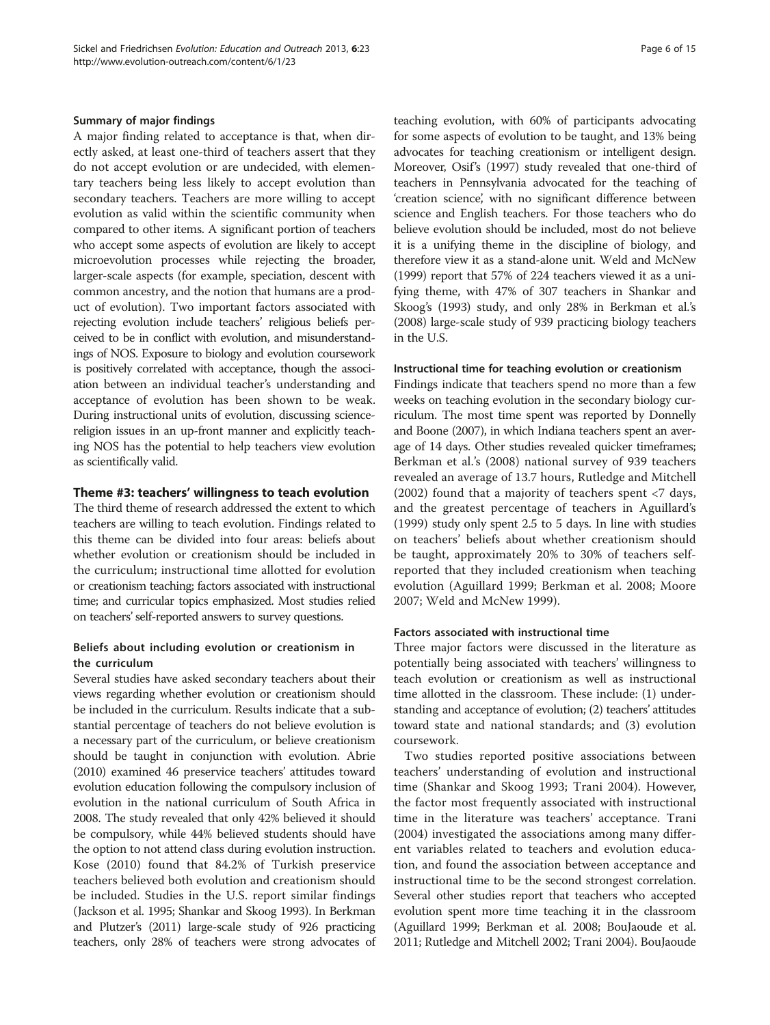#### Summary of major findings

A major finding related to acceptance is that, when directly asked, at least one-third of teachers assert that they do not accept evolution or are undecided, with elementary teachers being less likely to accept evolution than secondary teachers. Teachers are more willing to accept evolution as valid within the scientific community when compared to other items. A significant portion of teachers who accept some aspects of evolution are likely to accept microevolution processes while rejecting the broader, larger-scale aspects (for example, speciation, descent with common ancestry, and the notion that humans are a product of evolution). Two important factors associated with rejecting evolution include teachers' religious beliefs perceived to be in conflict with evolution, and misunderstandings of NOS. Exposure to biology and evolution coursework is positively correlated with acceptance, though the association between an individual teacher's understanding and acceptance of evolution has been shown to be weak. During instructional units of evolution, discussing sciencereligion issues in an up-front manner and explicitly teaching NOS has the potential to help teachers view evolution as scientifically valid.

## Theme #3: teachers' willingness to teach evolution

The third theme of research addressed the extent to which teachers are willing to teach evolution. Findings related to this theme can be divided into four areas: beliefs about whether evolution or creationism should be included in the curriculum; instructional time allotted for evolution or creationism teaching; factors associated with instructional time; and curricular topics emphasized. Most studies relied on teachers'self-reported answers to survey questions.

## Beliefs about including evolution or creationism in the curriculum

Several studies have asked secondary teachers about their views regarding whether evolution or creationism should be included in the curriculum. Results indicate that a substantial percentage of teachers do not believe evolution is a necessary part of the curriculum, or believe creationism should be taught in conjunction with evolution. Abrie ([2010](#page-12-0)) examined 46 preservice teachers' attitudes toward evolution education following the compulsory inclusion of evolution in the national curriculum of South Africa in 2008. The study revealed that only 42% believed it should be compulsory, while 44% believed students should have the option to not attend class during evolution instruction. Kose ([2010\)](#page-13-0) found that 84.2% of Turkish preservice teachers believed both evolution and creationism should be included. Studies in the U.S. report similar findings (Jackson et al. [1995](#page-13-0); Shankar and Skoog [1993\)](#page-14-0). In Berkman and Plutzer's [\(2011\)](#page-12-0) large-scale study of 926 practicing teachers, only 28% of teachers were strong advocates of teaching evolution, with 60% of participants advocating for some aspects of evolution to be taught, and 13% being advocates for teaching creationism or intelligent design. Moreover, Osif's [\(1997\)](#page-14-0) study revealed that one-third of teachers in Pennsylvania advocated for the teaching of 'creation science', with no significant difference between science and English teachers. For those teachers who do believe evolution should be included, most do not believe it is a unifying theme in the discipline of biology, and therefore view it as a stand-alone unit. Weld and McNew ([1999](#page-14-0)) report that 57% of 224 teachers viewed it as a unifying theme, with 47% of 307 teachers in Shankar and Skoog's [\(1993](#page-14-0)) study, and only 28% in Berkman et al.'s ([2008](#page-13-0)) large-scale study of 939 practicing biology teachers in the U.S.

## Instructional time for teaching evolution or creationism

Findings indicate that teachers spend no more than a few weeks on teaching evolution in the secondary biology curriculum. The most time spent was reported by Donnelly and Boone ([2007\)](#page-13-0), in which Indiana teachers spent an average of 14 days. Other studies revealed quicker timeframes; Berkman et al.'s ([2008\)](#page-13-0) national survey of 939 teachers revealed an average of 13.7 hours, Rutledge and Mitchell ([2002\)](#page-14-0) found that a majority of teachers spent <7 days, and the greatest percentage of teachers in Aguillard's ([1999\)](#page-12-0) study only spent 2.5 to 5 days. In line with studies on teachers' beliefs about whether creationism should be taught, approximately 20% to 30% of teachers selfreported that they included creationism when teaching evolution (Aguillard [1999](#page-12-0); Berkman et al. [2008;](#page-13-0) Moore [2007;](#page-13-0) Weld and McNew [1999\)](#page-14-0).

## Factors associated with instructional time

Three major factors were discussed in the literature as potentially being associated with teachers' willingness to teach evolution or creationism as well as instructional time allotted in the classroom. These include: (1) understanding and acceptance of evolution; (2) teachers' attitudes toward state and national standards; and (3) evolution coursework.

Two studies reported positive associations between teachers' understanding of evolution and instructional time (Shankar and Skoog [1993](#page-14-0); Trani [2004](#page-14-0)). However, the factor most frequently associated with instructional time in the literature was teachers' acceptance. Trani ([2004\)](#page-14-0) investigated the associations among many different variables related to teachers and evolution education, and found the association between acceptance and instructional time to be the second strongest correlation. Several other studies report that teachers who accepted evolution spent more time teaching it in the classroom (Aguillard [1999](#page-12-0); Berkman et al. [2008;](#page-13-0) BouJaoude et al. [2011](#page-13-0); Rutledge and Mitchell [2002](#page-14-0); Trani [2004\)](#page-14-0). BouJaoude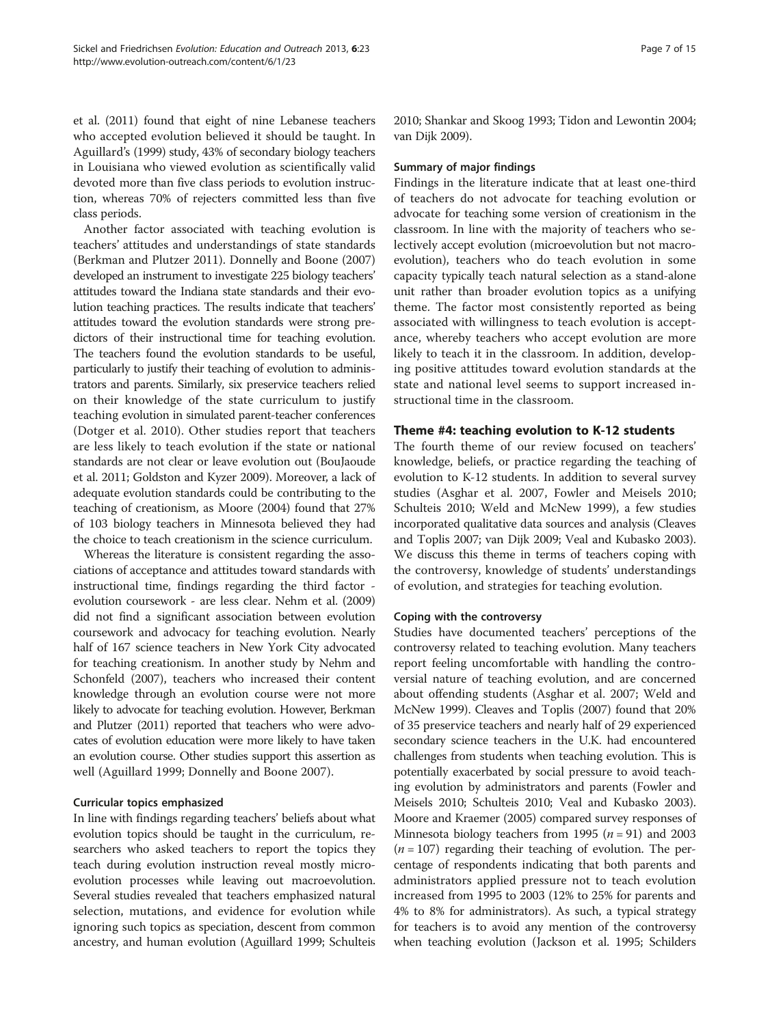et al. ([2011\)](#page-13-0) found that eight of nine Lebanese teachers who accepted evolution believed it should be taught. In Aguillard's [\(1999](#page-12-0)) study, 43% of secondary biology teachers in Louisiana who viewed evolution as scientifically valid devoted more than five class periods to evolution instruction, whereas 70% of rejecters committed less than five class periods.

Another factor associated with teaching evolution is teachers' attitudes and understandings of state standards (Berkman and Plutzer [2011](#page-12-0)). Donnelly and Boone ([2007](#page-13-0)) developed an instrument to investigate 225 biology teachers' attitudes toward the Indiana state standards and their evolution teaching practices. The results indicate that teachers' attitudes toward the evolution standards were strong predictors of their instructional time for teaching evolution. The teachers found the evolution standards to be useful, particularly to justify their teaching of evolution to administrators and parents. Similarly, six preservice teachers relied on their knowledge of the state curriculum to justify teaching evolution in simulated parent-teacher conferences (Dotger et al. [2010\)](#page-13-0). Other studies report that teachers are less likely to teach evolution if the state or national standards are not clear or leave evolution out (BouJaoude et al. [2011;](#page-13-0) Goldston and Kyzer [2009](#page-13-0)). Moreover, a lack of adequate evolution standards could be contributing to the teaching of creationism, as Moore [\(2004](#page-13-0)) found that 27% of 103 biology teachers in Minnesota believed they had the choice to teach creationism in the science curriculum.

Whereas the literature is consistent regarding the associations of acceptance and attitudes toward standards with instructional time, findings regarding the third factor evolution coursework - are less clear. Nehm et al. [\(2009](#page-14-0)) did not find a significant association between evolution coursework and advocacy for teaching evolution. Nearly half of 167 science teachers in New York City advocated for teaching creationism. In another study by Nehm and Schonfeld [\(2007\)](#page-13-0), teachers who increased their content knowledge through an evolution course were not more likely to advocate for teaching evolution. However, Berkman and Plutzer [\(2011\)](#page-12-0) reported that teachers who were advocates of evolution education were more likely to have taken an evolution course. Other studies support this assertion as well (Aguillard [1999;](#page-12-0) Donnelly and Boone [2007\)](#page-13-0).

## Curricular topics emphasized

In line with findings regarding teachers' beliefs about what evolution topics should be taught in the curriculum, researchers who asked teachers to report the topics they teach during evolution instruction reveal mostly microevolution processes while leaving out macroevolution. Several studies revealed that teachers emphasized natural selection, mutations, and evidence for evolution while ignoring such topics as speciation, descent from common ancestry, and human evolution (Aguillard [1999](#page-12-0); Schulteis [2010;](#page-14-0) Shankar and Skoog [1993;](#page-14-0) Tidon and Lewontin [2004](#page-14-0); van Dijk [2009](#page-14-0)).

#### Summary of major findings

Findings in the literature indicate that at least one-third of teachers do not advocate for teaching evolution or advocate for teaching some version of creationism in the classroom. In line with the majority of teachers who selectively accept evolution (microevolution but not macroevolution), teachers who do teach evolution in some capacity typically teach natural selection as a stand-alone unit rather than broader evolution topics as a unifying theme. The factor most consistently reported as being associated with willingness to teach evolution is acceptance, whereby teachers who accept evolution are more likely to teach it in the classroom. In addition, developing positive attitudes toward evolution standards at the state and national level seems to support increased instructional time in the classroom.

## Theme #4: teaching evolution to K-12 students

The fourth theme of our review focused on teachers' knowledge, beliefs, or practice regarding the teaching of evolution to K-12 students. In addition to several survey studies (Asghar et al. [2007](#page-12-0), Fowler and Meisels [2010](#page-13-0); Schulteis [2010](#page-14-0); Weld and McNew [1999\)](#page-14-0), a few studies incorporated qualitative data sources and analysis (Cleaves and Toplis [2007](#page-13-0); van Dijk [2009](#page-14-0); Veal and Kubasko [2003](#page-14-0)). We discuss this theme in terms of teachers coping with the controversy, knowledge of students' understandings of evolution, and strategies for teaching evolution.

#### Coping with the controversy

Studies have documented teachers' perceptions of the controversy related to teaching evolution. Many teachers report feeling uncomfortable with handling the controversial nature of teaching evolution, and are concerned about offending students (Asghar et al. [2007;](#page-12-0) Weld and McNew [1999](#page-14-0)). Cleaves and Toplis ([2007\)](#page-13-0) found that 20% of 35 preservice teachers and nearly half of 29 experienced secondary science teachers in the U.K. had encountered challenges from students when teaching evolution. This is potentially exacerbated by social pressure to avoid teaching evolution by administrators and parents (Fowler and Meisels [2010;](#page-13-0) Schulteis [2010;](#page-14-0) Veal and Kubasko [2003](#page-14-0)). Moore and Kraemer ([2005\)](#page-13-0) compared survey responses of Minnesota biology teachers from 1995 ( $n = 91$ ) and 2003  $(n = 107)$  regarding their teaching of evolution. The percentage of respondents indicating that both parents and administrators applied pressure not to teach evolution increased from 1995 to 2003 (12% to 25% for parents and 4% to 8% for administrators). As such, a typical strategy for teachers is to avoid any mention of the controversy when teaching evolution (Jackson et al. [1995](#page-13-0); Schilders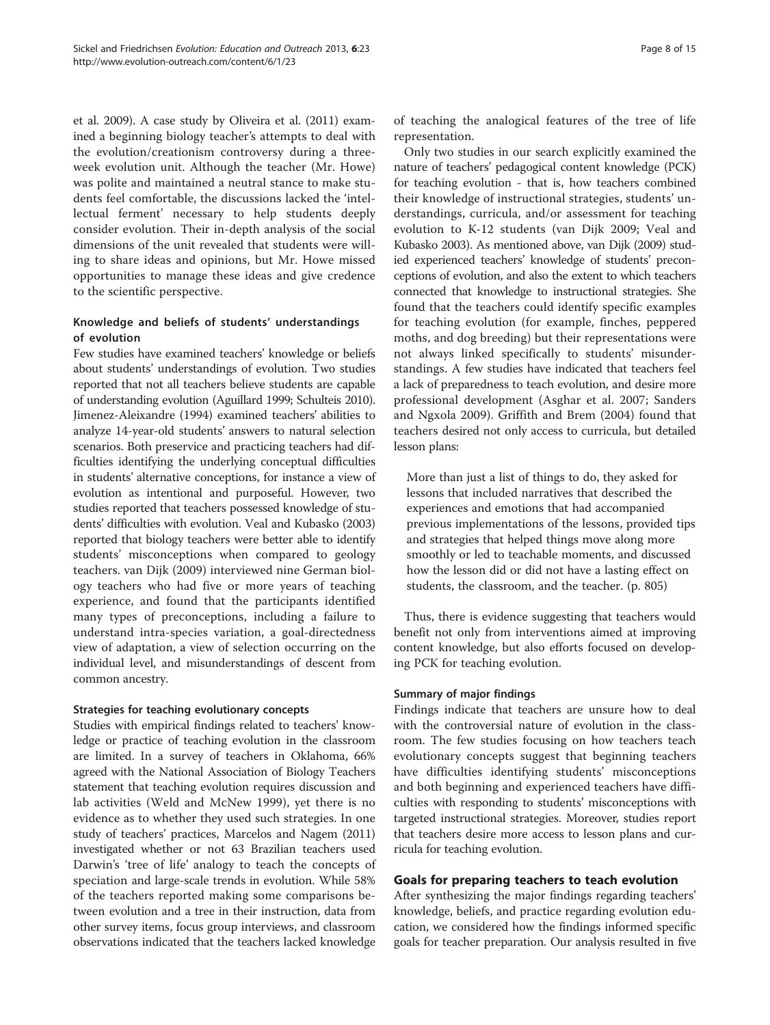et al. [2009\)](#page-14-0). A case study by Oliveira et al. [\(2011\)](#page-14-0) examined a beginning biology teacher's attempts to deal with the evolution/creationism controversy during a threeweek evolution unit. Although the teacher (Mr. Howe) was polite and maintained a neutral stance to make students feel comfortable, the discussions lacked the 'intellectual ferment' necessary to help students deeply consider evolution. Their in-depth analysis of the social dimensions of the unit revealed that students were willing to share ideas and opinions, but Mr. Howe missed opportunities to manage these ideas and give credence to the scientific perspective.

# Knowledge and beliefs of students' understandings of evolution

Few studies have examined teachers' knowledge or beliefs about students' understandings of evolution. Two studies reported that not all teachers believe students are capable of understanding evolution (Aguillard [1999;](#page-12-0) Schulteis [2010](#page-14-0)). Jimenez-Aleixandre [\(1994](#page-13-0)) examined teachers' abilities to analyze 14-year-old students' answers to natural selection scenarios. Both preservice and practicing teachers had difficulties identifying the underlying conceptual difficulties in students' alternative conceptions, for instance a view of evolution as intentional and purposeful. However, two studies reported that teachers possessed knowledge of students' difficulties with evolution. Veal and Kubasko [\(2003](#page-14-0)) reported that biology teachers were better able to identify students' misconceptions when compared to geology teachers. van Dijk ([2009\)](#page-14-0) interviewed nine German biology teachers who had five or more years of teaching experience, and found that the participants identified many types of preconceptions, including a failure to understand intra-species variation, a goal-directedness view of adaptation, a view of selection occurring on the individual level, and misunderstandings of descent from common ancestry.

## Strategies for teaching evolutionary concepts

Studies with empirical findings related to teachers' knowledge or practice of teaching evolution in the classroom are limited. In a survey of teachers in Oklahoma, 66% agreed with the National Association of Biology Teachers statement that teaching evolution requires discussion and lab activities (Weld and McNew [1999\)](#page-14-0), yet there is no evidence as to whether they used such strategies. In one study of teachers' practices, Marcelos and Nagem [\(2011](#page-13-0)) investigated whether or not 63 Brazilian teachers used Darwin's 'tree of life' analogy to teach the concepts of speciation and large-scale trends in evolution. While 58% of the teachers reported making some comparisons between evolution and a tree in their instruction, data from other survey items, focus group interviews, and classroom observations indicated that the teachers lacked knowledge

of teaching the analogical features of the tree of life representation.

Only two studies in our search explicitly examined the nature of teachers' pedagogical content knowledge (PCK) for teaching evolution - that is, how teachers combined their knowledge of instructional strategies, students' understandings, curricula, and/or assessment for teaching evolution to K-12 students (van Dijk [2009;](#page-14-0) Veal and Kubasko [2003\)](#page-14-0). As mentioned above, van Dijk [\(2009](#page-14-0)) studied experienced teachers' knowledge of students' preconceptions of evolution, and also the extent to which teachers connected that knowledge to instructional strategies. She found that the teachers could identify specific examples for teaching evolution (for example, finches, peppered moths, and dog breeding) but their representations were not always linked specifically to students' misunderstandings. A few studies have indicated that teachers feel a lack of preparedness to teach evolution, and desire more professional development (Asghar et al. [2007;](#page-12-0) Sanders and Ngxola [2009](#page-14-0)). Griffith and Brem ([2004\)](#page-13-0) found that teachers desired not only access to curricula, but detailed lesson plans:

More than just a list of things to do, they asked for lessons that included narratives that described the experiences and emotions that had accompanied previous implementations of the lessons, provided tips and strategies that helped things move along more smoothly or led to teachable moments, and discussed how the lesson did or did not have a lasting effect on students, the classroom, and the teacher. (p. 805)

Thus, there is evidence suggesting that teachers would benefit not only from interventions aimed at improving content knowledge, but also efforts focused on developing PCK for teaching evolution.

## Summary of major findings

Findings indicate that teachers are unsure how to deal with the controversial nature of evolution in the classroom. The few studies focusing on how teachers teach evolutionary concepts suggest that beginning teachers have difficulties identifying students' misconceptions and both beginning and experienced teachers have difficulties with responding to students' misconceptions with targeted instructional strategies. Moreover, studies report that teachers desire more access to lesson plans and curricula for teaching evolution.

## Goals for preparing teachers to teach evolution

After synthesizing the major findings regarding teachers' knowledge, beliefs, and practice regarding evolution education, we considered how the findings informed specific goals for teacher preparation. Our analysis resulted in five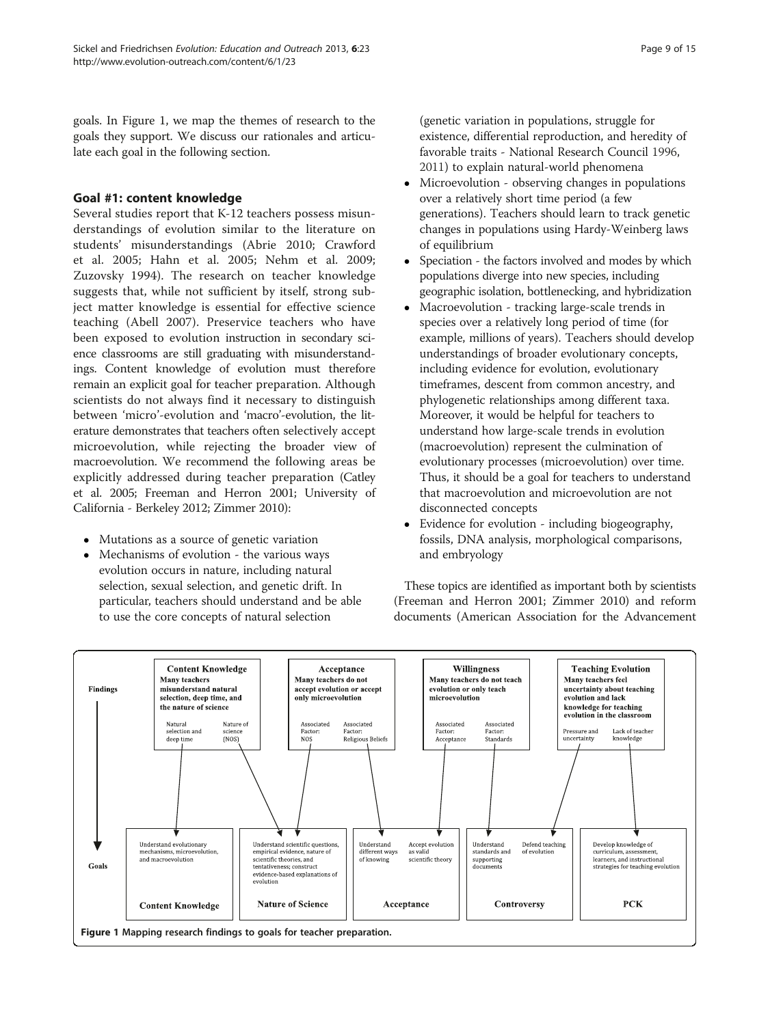goals. In Figure 1, we map the themes of research to the goals they support. We discuss our rationales and articulate each goal in the following section.

## Goal #1: content knowledge

Several studies report that K-12 teachers possess misunderstandings of evolution similar to the literature on students' misunderstandings (Abrie [2010;](#page-12-0) Crawford et al. [2005](#page-13-0); Hahn et al. [2005](#page-13-0); Nehm et al. [2009](#page-14-0); Zuzovsky [1994](#page-14-0)). The research on teacher knowledge suggests that, while not sufficient by itself, strong subject matter knowledge is essential for effective science teaching (Abell [2007\)](#page-12-0). Preservice teachers who have been exposed to evolution instruction in secondary science classrooms are still graduating with misunderstandings. Content knowledge of evolution must therefore remain an explicit goal for teacher preparation. Although scientists do not always find it necessary to distinguish between 'micro'-evolution and 'macro'-evolution, the literature demonstrates that teachers often selectively accept microevolution, while rejecting the broader view of macroevolution. We recommend the following areas be explicitly addressed during teacher preparation (Catley et al. [2005;](#page-13-0) Freeman and Herron [2001](#page-13-0); University of California - Berkeley [2012](#page-14-0); Zimmer [2010\)](#page-14-0):

- Mutations as a source of genetic variation
- Mechanisms of evolution the various ways evolution occurs in nature, including natural selection, sexual selection, and genetic drift. In particular, teachers should understand and be able to use the core concepts of natural selection

(genetic variation in populations, struggle for existence, differential reproduction, and heredity of favorable traits - National Research Council [1996,](#page-13-0) [2011\)](#page-13-0) to explain natural-world phenomena

- Microevolution observing changes in populations over a relatively short time period (a few generations). Teachers should learn to track genetic changes in populations using Hardy-Weinberg laws of equilibrium
- Speciation the factors involved and modes by which populations diverge into new species, including geographic isolation, bottlenecking, and hybridization
- Macroevolution tracking large-scale trends in species over a relatively long period of time (for example, millions of years). Teachers should develop understandings of broader evolutionary concepts, including evidence for evolution, evolutionary timeframes, descent from common ancestry, and phylogenetic relationships among different taxa. Moreover, it would be helpful for teachers to understand how large-scale trends in evolution (macroevolution) represent the culmination of evolutionary processes (microevolution) over time. Thus, it should be a goal for teachers to understand that macroevolution and microevolution are not disconnected concepts
- Evidence for evolution including biogeography, fossils, DNA analysis, morphological comparisons, and embryology

These topics are identified as important both by scientists (Freeman and Herron [2001](#page-13-0); Zimmer [2010\)](#page-14-0) and reform documents (American Association for the Advancement

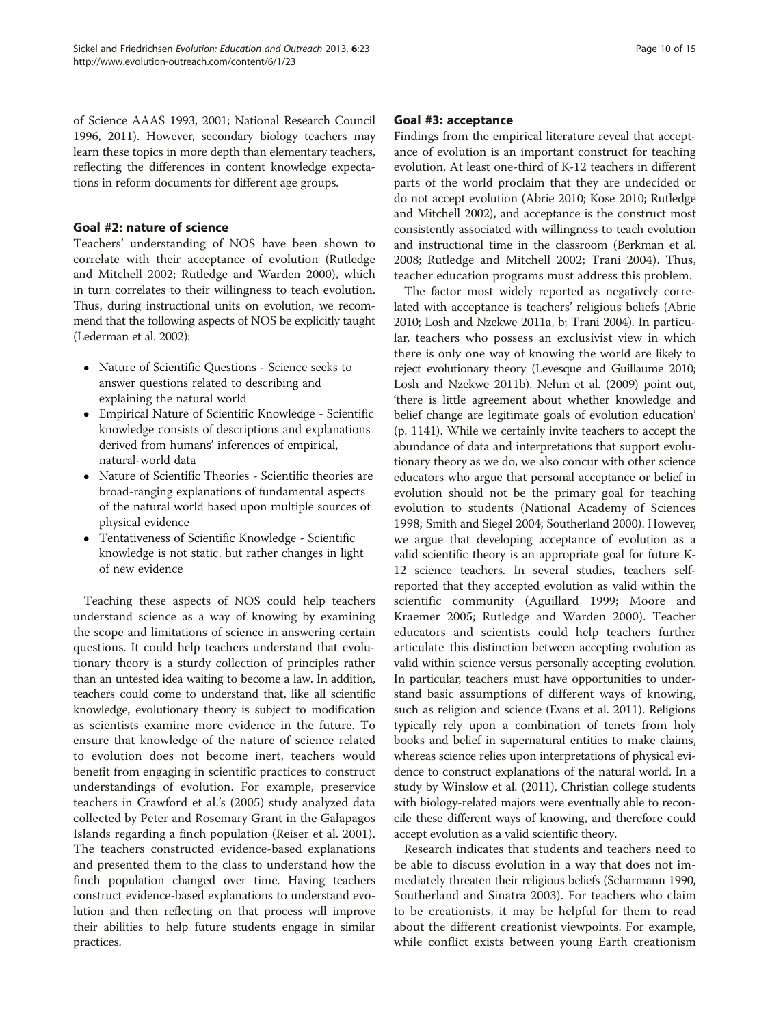of Science AAAS [1993, 2001;](#page-12-0) National Research Council [1996, 2011\)](#page-13-0). However, secondary biology teachers may learn these topics in more depth than elementary teachers, reflecting the differences in content knowledge expectations in reform documents for different age groups.

# Goal #2: nature of science

Teachers' understanding of NOS have been shown to correlate with their acceptance of evolution (Rutledge and Mitchell [2002;](#page-14-0) Rutledge and Warden [2000\)](#page-14-0), which in turn correlates to their willingness to teach evolution. Thus, during instructional units on evolution, we recommend that the following aspects of NOS be explicitly taught (Lederman et al. [2002](#page-13-0)):

- Nature of Scientific Questions Science seeks to answer questions related to describing and explaining the natural world
- Empirical Nature of Scientific Knowledge Scientific knowledge consists of descriptions and explanations derived from humans' inferences of empirical, natural-world data
- Nature of Scientific Theories Scientific theories are broad-ranging explanations of fundamental aspects of the natural world based upon multiple sources of physical evidence
- Tentativeness of Scientific Knowledge Scientific knowledge is not static, but rather changes in light of new evidence

Teaching these aspects of NOS could help teachers understand science as a way of knowing by examining the scope and limitations of science in answering certain questions. It could help teachers understand that evolutionary theory is a sturdy collection of principles rather than an untested idea waiting to become a law. In addition, teachers could come to understand that, like all scientific knowledge, evolutionary theory is subject to modification as scientists examine more evidence in the future. To ensure that knowledge of the nature of science related to evolution does not become inert, teachers would benefit from engaging in scientific practices to construct understandings of evolution. For example, preservice teachers in Crawford et al.'s [\(2005](#page-13-0)) study analyzed data collected by Peter and Rosemary Grant in the Galapagos Islands regarding a finch population (Reiser et al. [2001](#page-14-0)). The teachers constructed evidence-based explanations and presented them to the class to understand how the finch population changed over time. Having teachers construct evidence-based explanations to understand evolution and then reflecting on that process will improve their abilities to help future students engage in similar practices.

# Goal #3: acceptance

Findings from the empirical literature reveal that acceptance of evolution is an important construct for teaching evolution. At least one-third of K-12 teachers in different parts of the world proclaim that they are undecided or do not accept evolution (Abrie [2010](#page-12-0); Kose [2010](#page-13-0); Rutledge and Mitchell [2002\)](#page-14-0), and acceptance is the construct most consistently associated with willingness to teach evolution and instructional time in the classroom (Berkman et al. [2008](#page-13-0); Rutledge and Mitchell [2002;](#page-14-0) Trani [2004\)](#page-14-0). Thus, teacher education programs must address this problem.

The factor most widely reported as negatively correlated with acceptance is teachers' religious beliefs (Abrie [2010;](#page-12-0) Losh and Nzekwe [2011a, b;](#page-13-0) Trani [2004\)](#page-14-0). In particular, teachers who possess an exclusivist view in which there is only one way of knowing the world are likely to reject evolutionary theory (Levesque and Guillaume [2010](#page-13-0); Losh and Nzekwe [2011b\)](#page-13-0). Nehm et al. ([2009](#page-14-0)) point out, 'there is little agreement about whether knowledge and belief change are legitimate goals of evolution education' (p. 1141). While we certainly invite teachers to accept the abundance of data and interpretations that support evolutionary theory as we do, we also concur with other science educators who argue that personal acceptance or belief in evolution should not be the primary goal for teaching evolution to students (National Academy of Sciences [1998;](#page-13-0) Smith and Siegel [2004](#page-14-0); Southerland [2000](#page-14-0)). However, we argue that developing acceptance of evolution as a valid scientific theory is an appropriate goal for future K-12 science teachers. In several studies, teachers selfreported that they accepted evolution as valid within the scientific community (Aguillard [1999](#page-12-0); Moore and Kraemer [2005;](#page-13-0) Rutledge and Warden [2000](#page-14-0)). Teacher educators and scientists could help teachers further articulate this distinction between accepting evolution as valid within science versus personally accepting evolution. In particular, teachers must have opportunities to understand basic assumptions of different ways of knowing, such as religion and science (Evans et al. [2011\)](#page-13-0). Religions typically rely upon a combination of tenets from holy books and belief in supernatural entities to make claims, whereas science relies upon interpretations of physical evidence to construct explanations of the natural world. In a study by Winslow et al. ([2011\)](#page-14-0), Christian college students with biology-related majors were eventually able to reconcile these different ways of knowing, and therefore could accept evolution as a valid scientific theory.

Research indicates that students and teachers need to be able to discuss evolution in a way that does not immediately threaten their religious beliefs (Scharmann [1990](#page-14-0), Southerland and Sinatra [2003](#page-14-0)). For teachers who claim to be creationists, it may be helpful for them to read about the different creationist viewpoints. For example, while conflict exists between young Earth creationism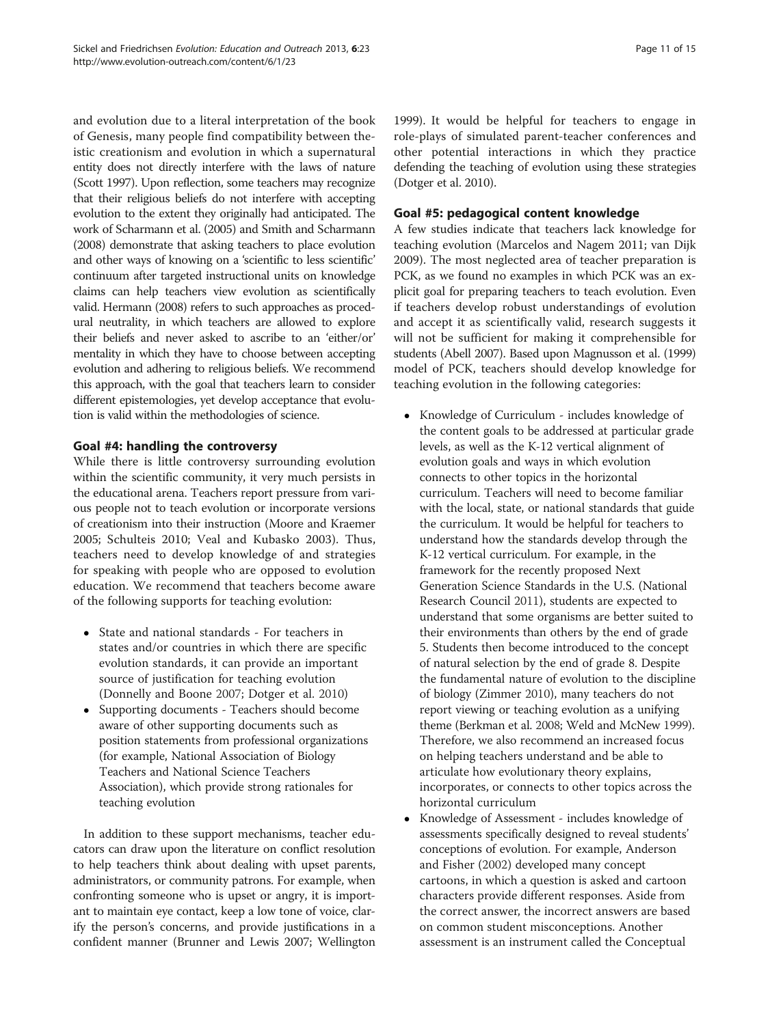and evolution due to a literal interpretation of the book of Genesis, many people find compatibility between theistic creationism and evolution in which a supernatural entity does not directly interfere with the laws of nature (Scott [1997](#page-14-0)). Upon reflection, some teachers may recognize that their religious beliefs do not interfere with accepting evolution to the extent they originally had anticipated. The work of Scharmann et al. ([2005\)](#page-14-0) and Smith and Scharmann ([2008\)](#page-14-0) demonstrate that asking teachers to place evolution and other ways of knowing on a 'scientific to less scientific' continuum after targeted instructional units on knowledge claims can help teachers view evolution as scientifically valid. Hermann [\(2008\)](#page-13-0) refers to such approaches as procedural neutrality, in which teachers are allowed to explore their beliefs and never asked to ascribe to an 'either/or' mentality in which they have to choose between accepting evolution and adhering to religious beliefs. We recommend this approach, with the goal that teachers learn to consider different epistemologies, yet develop acceptance that evolution is valid within the methodologies of science.

# Goal #4: handling the controversy

While there is little controversy surrounding evolution within the scientific community, it very much persists in the educational arena. Teachers report pressure from various people not to teach evolution or incorporate versions of creationism into their instruction (Moore and Kraemer [2005;](#page-13-0) Schulteis [2010](#page-14-0); Veal and Kubasko [2003\)](#page-14-0). Thus, teachers need to develop knowledge of and strategies for speaking with people who are opposed to evolution education. We recommend that teachers become aware of the following supports for teaching evolution:

- State and national standards For teachers in states and/or countries in which there are specific evolution standards, it can provide an important source of justification for teaching evolution (Donnelly and Boone [2007;](#page-13-0) Dotger et al. [2010](#page-13-0))
- Supporting documents Teachers should become aware of other supporting documents such as position statements from professional organizations (for example, National Association of Biology Teachers and National Science Teachers Association), which provide strong rationales for teaching evolution

In addition to these support mechanisms, teacher educators can draw upon the literature on conflict resolution to help teachers think about dealing with upset parents, administrators, or community patrons. For example, when confronting someone who is upset or angry, it is important to maintain eye contact, keep a low tone of voice, clarify the person's concerns, and provide justifications in a confident manner (Brunner and Lewis [2007](#page-13-0); Wellington [1999](#page-14-0)). It would be helpful for teachers to engage in role-plays of simulated parent-teacher conferences and other potential interactions in which they practice defending the teaching of evolution using these strategies (Dotger et al. [2010\)](#page-13-0).

# Goal #5: pedagogical content knowledge

A few studies indicate that teachers lack knowledge for teaching evolution (Marcelos and Nagem [2011](#page-13-0); van Dijk [2009](#page-14-0)). The most neglected area of teacher preparation is PCK, as we found no examples in which PCK was an explicit goal for preparing teachers to teach evolution. Even if teachers develop robust understandings of evolution and accept it as scientifically valid, research suggests it will not be sufficient for making it comprehensible for students (Abell [2007](#page-12-0)). Based upon Magnusson et al. [\(1999](#page-13-0)) model of PCK, teachers should develop knowledge for teaching evolution in the following categories:

- Knowledge of Curriculum includes knowledge of the content goals to be addressed at particular grade levels, as well as the K-12 vertical alignment of evolution goals and ways in which evolution connects to other topics in the horizontal curriculum. Teachers will need to become familiar with the local, state, or national standards that guide the curriculum. It would be helpful for teachers to understand how the standards develop through the K-12 vertical curriculum. For example, in the framework for the recently proposed Next Generation Science Standards in the U.S. (National Research Council [2011](#page-14-0)), students are expected to understand that some organisms are better suited to their environments than others by the end of grade 5. Students then become introduced to the concept of natural selection by the end of grade 8. Despite the fundamental nature of evolution to the discipline of biology (Zimmer [2010\)](#page-14-0), many teachers do not report viewing or teaching evolution as a unifying theme (Berkman et al. [2008](#page-13-0); Weld and McNew [1999](#page-14-0)). Therefore, we also recommend an increased focus on helping teachers understand and be able to articulate how evolutionary theory explains, incorporates, or connects to other topics across the horizontal curriculum
- Knowledge of Assessment includes knowledge of assessments specifically designed to reveal students' conceptions of evolution. For example, Anderson and Fisher [\(2002\)](#page-12-0) developed many concept cartoons, in which a question is asked and cartoon characters provide different responses. Aside from the correct answer, the incorrect answers are based on common student misconceptions. Another assessment is an instrument called the Conceptual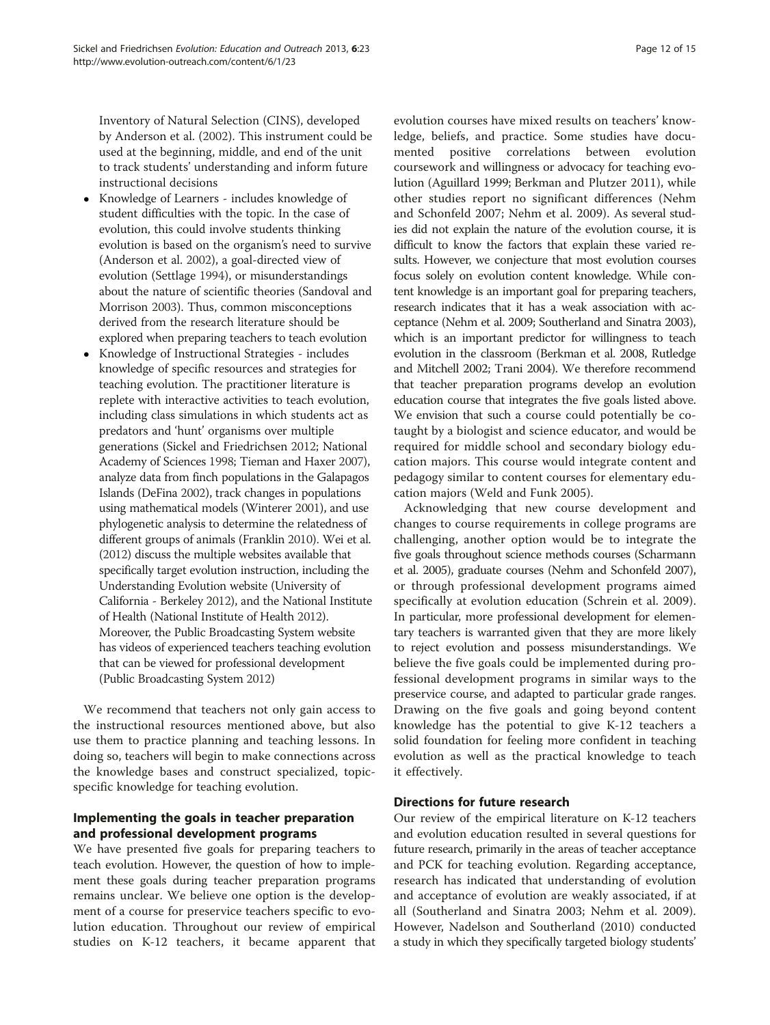Inventory of Natural Selection (CINS), developed by Anderson et al. ([2002](#page-12-0)). This instrument could be used at the beginning, middle, and end of the unit to track students' understanding and inform future instructional decisions

- Knowledge of Learners includes knowledge of student difficulties with the topic. In the case of evolution, this could involve students thinking evolution is based on the organism's need to survive (Anderson et al. [2002\)](#page-12-0), a goal-directed view of evolution (Settlage [1994\)](#page-14-0), or misunderstandings about the nature of scientific theories (Sandoval and Morrison [2003\)](#page-14-0). Thus, common misconceptions derived from the research literature should be explored when preparing teachers to teach evolution
- Knowledge of Instructional Strategies includes knowledge of specific resources and strategies for teaching evolution. The practitioner literature is replete with interactive activities to teach evolution, including class simulations in which students act as predators and 'hunt' organisms over multiple generations (Sickel and Friedrichsen [2012;](#page-14-0) National Academy of Sciences [1998;](#page-13-0) Tieman and Haxer [2007](#page-14-0)), analyze data from finch populations in the Galapagos Islands (DeFina [2002\)](#page-13-0), track changes in populations using mathematical models (Winterer [2001](#page-14-0)), and use phylogenetic analysis to determine the relatedness of different groups of animals (Franklin [2010\)](#page-13-0). Wei et al. ([2012\)](#page-14-0) discuss the multiple websites available that specifically target evolution instruction, including the Understanding Evolution website (University of California - Berkeley [2012\)](#page-14-0), and the National Institute of Health (National Institute of Health [2012](#page-13-0)). Moreover, the Public Broadcasting System website has videos of experienced teachers teaching evolution that can be viewed for professional development (Public Broadcasting System [2012\)](#page-14-0)

We recommend that teachers not only gain access to the instructional resources mentioned above, but also use them to practice planning and teaching lessons. In doing so, teachers will begin to make connections across the knowledge bases and construct specialized, topicspecific knowledge for teaching evolution.

# Implementing the goals in teacher preparation and professional development programs

We have presented five goals for preparing teachers to teach evolution. However, the question of how to implement these goals during teacher preparation programs remains unclear. We believe one option is the development of a course for preservice teachers specific to evolution education. Throughout our review of empirical studies on K-12 teachers, it became apparent that evolution courses have mixed results on teachers' knowledge, beliefs, and practice. Some studies have documented positive correlations between evolution coursework and willingness or advocacy for teaching evolution (Aguillard [1999](#page-12-0); Berkman and Plutzer [2011](#page-12-0)), while other studies report no significant differences (Nehm and Schonfeld [2007;](#page-13-0) Nehm et al. [2009](#page-14-0)). As several studies did not explain the nature of the evolution course, it is difficult to know the factors that explain these varied results. However, we conjecture that most evolution courses focus solely on evolution content knowledge. While content knowledge is an important goal for preparing teachers, research indicates that it has a weak association with acceptance (Nehm et al. [2009](#page-14-0); Southerland and Sinatra [2003](#page-14-0)), which is an important predictor for willingness to teach evolution in the classroom (Berkman et al. [2008,](#page-13-0) Rutledge and Mitchell [2002](#page-14-0); Trani [2004\)](#page-14-0). We therefore recommend that teacher preparation programs develop an evolution education course that integrates the five goals listed above. We envision that such a course could potentially be cotaught by a biologist and science educator, and would be required for middle school and secondary biology education majors. This course would integrate content and pedagogy similar to content courses for elementary education majors (Weld and Funk [2005\)](#page-14-0).

Acknowledging that new course development and changes to course requirements in college programs are challenging, another option would be to integrate the five goals throughout science methods courses (Scharmann et al. [2005\)](#page-14-0), graduate courses (Nehm and Schonfeld [2007](#page-13-0)), or through professional development programs aimed specifically at evolution education (Schrein et al. [2009](#page-14-0)). In particular, more professional development for elementary teachers is warranted given that they are more likely to reject evolution and possess misunderstandings. We believe the five goals could be implemented during professional development programs in similar ways to the preservice course, and adapted to particular grade ranges. Drawing on the five goals and going beyond content knowledge has the potential to give K-12 teachers a solid foundation for feeling more confident in teaching evolution as well as the practical knowledge to teach it effectively.

# Directions for future research

Our review of the empirical literature on K-12 teachers and evolution education resulted in several questions for future research, primarily in the areas of teacher acceptance and PCK for teaching evolution. Regarding acceptance, research has indicated that understanding of evolution and acceptance of evolution are weakly associated, if at all (Southerland and Sinatra [2003](#page-14-0); Nehm et al. [2009](#page-14-0)). However, Nadelson and Southerland ([2010\)](#page-13-0) conducted a study in which they specifically targeted biology students'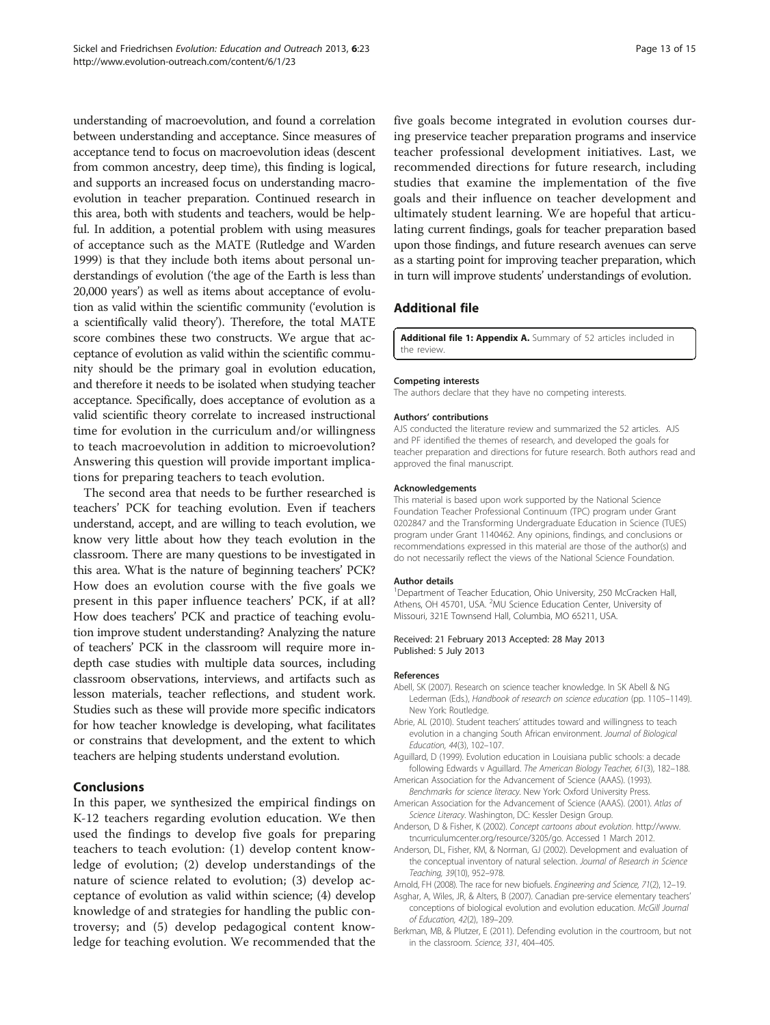<span id="page-12-0"></span>understanding of macroevolution, and found a correlation between understanding and acceptance. Since measures of acceptance tend to focus on macroevolution ideas (descent from common ancestry, deep time), this finding is logical, and supports an increased focus on understanding macroevolution in teacher preparation. Continued research in this area, both with students and teachers, would be helpful. In addition, a potential problem with using measures of acceptance such as the MATE (Rutledge and Warden [1999\)](#page-14-0) is that they include both items about personal understandings of evolution ('the age of the Earth is less than 20,000 years') as well as items about acceptance of evolution as valid within the scientific community ('evolution is a scientifically valid theory'). Therefore, the total MATE score combines these two constructs. We argue that acceptance of evolution as valid within the scientific community should be the primary goal in evolution education, and therefore it needs to be isolated when studying teacher acceptance. Specifically, does acceptance of evolution as a valid scientific theory correlate to increased instructional time for evolution in the curriculum and/or willingness to teach macroevolution in addition to microevolution? Answering this question will provide important implications for preparing teachers to teach evolution.

The second area that needs to be further researched is teachers' PCK for teaching evolution. Even if teachers understand, accept, and are willing to teach evolution, we know very little about how they teach evolution in the classroom. There are many questions to be investigated in this area. What is the nature of beginning teachers' PCK? How does an evolution course with the five goals we present in this paper influence teachers' PCK, if at all? How does teachers' PCK and practice of teaching evolution improve student understanding? Analyzing the nature of teachers' PCK in the classroom will require more indepth case studies with multiple data sources, including classroom observations, interviews, and artifacts such as lesson materials, teacher reflections, and student work. Studies such as these will provide more specific indicators for how teacher knowledge is developing, what facilitates or constrains that development, and the extent to which teachers are helping students understand evolution.

#### Conclusions

In this paper, we synthesized the empirical findings on K-12 teachers regarding evolution education. We then used the findings to develop five goals for preparing teachers to teach evolution: (1) develop content knowledge of evolution; (2) develop understandings of the nature of science related to evolution; (3) develop acceptance of evolution as valid within science; (4) develop knowledge of and strategies for handling the public controversy; and (5) develop pedagogical content knowledge for teaching evolution. We recommended that the five goals become integrated in evolution courses during preservice teacher preparation programs and inservice teacher professional development initiatives. Last, we recommended directions for future research, including studies that examine the implementation of the five goals and their influence on teacher development and ultimately student learning. We are hopeful that articulating current findings, goals for teacher preparation based upon those findings, and future research avenues can serve as a starting point for improving teacher preparation, which in turn will improve students' understandings of evolution.

#### Additional file

[Additional file 1: Appendix A.](http://www.biomedcentral.com/content/supplementary/1936-6434-6-23-S1.pdf) Summary of 52 articles included in the review.

#### Competing interests

The authors declare that they have no competing interests.

#### Authors' contributions

AJS conducted the literature review and summarized the 52 articles. AJS and PF identified the themes of research, and developed the goals for teacher preparation and directions for future research. Both authors read and approved the final manuscript.

#### Acknowledgements

This material is based upon work supported by the National Science Foundation Teacher Professional Continuum (TPC) program under Grant 0202847 and the Transforming Undergraduate Education in Science (TUES) program under Grant 1140462. Any opinions, findings, and conclusions or recommendations expressed in this material are those of the author(s) and do not necessarily reflect the views of the National Science Foundation.

#### Author details

<sup>1</sup>Department of Teacher Education, Ohio University, 250 McCracken Hall Athens, OH 45701, USA. <sup>2</sup>MU Science Education Center, University of Missouri, 321E Townsend Hall, Columbia, MO 65211, USA.

#### Received: 21 February 2013 Accepted: 28 May 2013 Published: 5 July 2013

#### References

- Abell, SK (2007). Research on science teacher knowledge. In SK Abell & NG Lederman (Eds.), Handbook of research on science education (pp. 1105–1149). New York: Routledge.
- Abrie, AL (2010). Student teachers' attitudes toward and willingness to teach evolution in a changing South African environment. Journal of Biological Education, 44(3), 102–107.
- Aguillard, D (1999). Evolution education in Louisiana public schools: a decade following Edwards v Aguillard. The American Biology Teacher, 61(3), 182–188.
- American Association for the Advancement of Science (AAAS). (1993). Benchmarks for science literacy. New York: Oxford University Press.
- American Association for the Advancement of Science (AAAS). (2001). Atlas of Science Literacy. Washington, DC: Kessler Design Group.
- Anderson, D & Fisher, K (2002). Concept cartoons about evolution. [http://www.](http://www.tncurriculumcenter.org/resource/3205/go) [tncurriculumcenter.org/resource/3205/go.](http://www.tncurriculumcenter.org/resource/3205/go) Accessed 1 March 2012.
- Anderson, DL, Fisher, KM, & Norman, GJ (2002). Development and evaluation of the conceptual inventory of natural selection. Journal of Research in Science Teaching, 39(10), 952–978.
- Arnold, FH (2008). The race for new biofuels. Engineering and Science, 71(2), 12–19.
- Asghar, A, Wiles, JR, & Alters, B (2007). Canadian pre-service elementary teachers' conceptions of biological evolution and evolution education. McGill Journal of Education, 42(2), 189–209.
- Berkman, MB, & Plutzer, E (2011). Defending evolution in the courtroom, but not in the classroom. Science, 331, 404–405.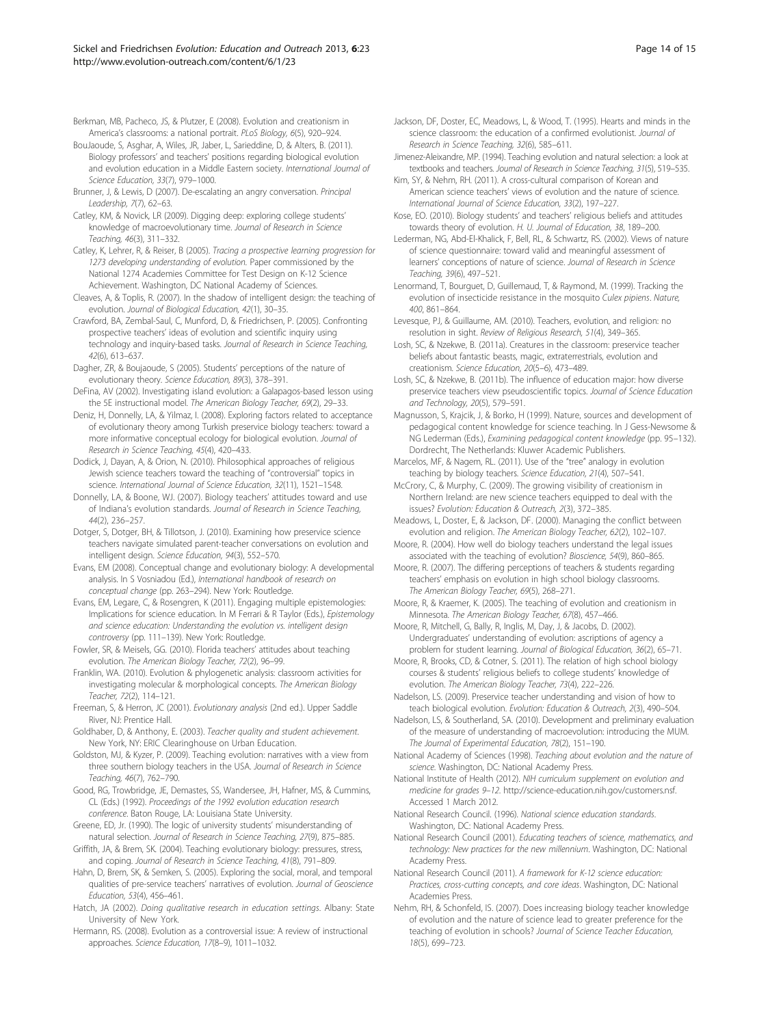<span id="page-13-0"></span>Berkman, MB, Pacheco, JS, & Plutzer, E (2008). Evolution and creationism in America's classrooms: a national portrait. PLoS Biology, 6(5), 920–924.

- BouJaoude, S, Asghar, A, Wiles, JR, Jaber, L, Sarieddine, D, & Alters, B. (2011). Biology professors' and teachers' positions regarding biological evolution and evolution education in a Middle Eastern society. International Journal of Science Education, 33(7), 979–1000.
- Brunner, J, & Lewis, D (2007). De-escalating an angry conversation. Principal Leadership, 7(7), 62–63.
- Catley, KM, & Novick, LR (2009). Digging deep: exploring college students' knowledge of macroevolutionary time. Journal of Research in Science Teaching, 46(3), 311–332.
- Catley, K, Lehrer, R, & Reiser, B (2005). Tracing a prospective learning progression for 1273 developing understanding of evolution. Paper commissioned by the National 1274 Academies Committee for Test Design on K-12 Science Achievement. Washington, DC National Academy of Sciences.
- Cleaves, A, & Toplis, R. (2007). In the shadow of intelligent design: the teaching of evolution. Journal of Biological Education, 42(1), 30–35.
- Crawford, BA, Zembal-Saul, C, Munford, D, & Friedrichsen, P. (2005). Confronting prospective teachers' ideas of evolution and scientific inquiry using technology and inquiry-based tasks. Journal of Research in Science Teaching, 42(6), 613–637.
- Dagher, ZR, & Boujaoude, S (2005). Students' perceptions of the nature of evolutionary theory. Science Education, 89(3), 378–391.
- DeFina, AV (2002). Investigating island evolution: a Galapagos-based lesson using the 5E instructional model. The American Biology Teacher, 69(2), 29–33.
- Deniz, H, Donnelly, LA, & Yilmaz, I. (2008). Exploring factors related to acceptance of evolutionary theory among Turkish preservice biology teachers: toward a more informative conceptual ecology for biological evolution. Journal of Research in Science Teaching, 45(4), 420–433.
- Dodick, J, Dayan, A, & Orion, N. (2010). Philosophical approaches of religious Jewish science teachers toward the teaching of "controversial" topics in science. International Journal of Science Education, 32(11), 1521–1548.
- Donnelly, LA, & Boone, WJ. (2007). Biology teachers' attitudes toward and use of Indiana's evolution standards. Journal of Research in Science Teaching, 44(2), 236–257.
- Dotger, S, Dotger, BH, & Tillotson, J. (2010). Examining how preservice science teachers navigate simulated parent-teacher conversations on evolution and intelligent design. Science Education, 94(3), 552–570.
- Evans, EM (2008). Conceptual change and evolutionary biology: A developmental analysis. In S Vosniadou (Ed.), International handbook of research on conceptual change (pp. 263–294). New York: Routledge.
- Evans, EM, Legare, C, & Rosengren, K (2011). Engaging multiple epistemologies: Implications for science education. In M Ferrari & R Taylor (Eds.), Epistemology and science education: Understanding the evolution vs. intelligent design controversy (pp. 111–139). New York: Routledge.
- Fowler, SR, & Meisels, GG. (2010). Florida teachers' attitudes about teaching evolution. The American Biology Teacher, 72(2), 96–99.
- Franklin, WA. (2010). Evolution & phylogenetic analysis: classroom activities for investigating molecular & morphological concepts. The American Biology Teacher, 72(2), 114–121.
- Freeman, S, & Herron, JC (2001). Evolutionary analysis (2nd ed.). Upper Saddle River, NJ: Prentice Hall.
- Goldhaber, D, & Anthony, E. (2003). Teacher quality and student achievement. New York, NY: ERIC Clearinghouse on Urban Education.
- Goldston, MJ, & Kyzer, P. (2009). Teaching evolution: narratives with a view from three southern biology teachers in the USA. Journal of Research in Science Teaching, 46(7), 762–790.
- Good, RG, Trowbridge, JE, Demastes, SS, Wandersee, JH, Hafner, MS, & Cummins, CL (Eds.) (1992). Proceedings of the 1992 evolution education research conference. Baton Rouge, LA: Louisiana State University.
- Greene, ED, Jr. (1990). The logic of university students' misunderstanding of natural selection. Journal of Research in Science Teaching, 27(9), 875–885.
- Griffith, JA, & Brem, SK. (2004). Teaching evolutionary biology: pressures, stress, and coping. Journal of Research in Science Teaching, 41(8), 791–809.
- Hahn, D, Brem, SK, & Semken, S. (2005). Exploring the social, moral, and temporal qualities of pre-service teachers' narratives of evolution. Journal of Geoscience Education, 53(4), 456–461.
- Hatch, JA (2002). Doing qualitative research in education settings. Albany: State University of New York.
- Hermann, RS. (2008). Evolution as a controversial issue: A review of instructional approaches. Science Education, 17(8–9), 1011–1032.
- Jackson, DF, Doster, EC, Meadows, L, & Wood, T. (1995). Hearts and minds in the science classroom: the education of a confirmed evolutionist. Journal of Research in Science Teaching, 32(6), 585–611.
- Jimenez-Aleixandre, MP. (1994). Teaching evolution and natural selection: a look at textbooks and teachers. Journal of Research in Science Teaching, 31(5), 519–535.
- Kim, SY, & Nehm, RH. (2011). A cross-cultural comparison of Korean and American science teachers' views of evolution and the nature of science. International Journal of Science Education, 33(2), 197–227.
- Kose, EO. (2010). Biology students' and teachers' religious beliefs and attitudes towards theory of evolution. H. U. Journal of Education, 38, 189–200.
- Lederman, NG, Abd-El-Khalick, F, Bell, RL, & Schwartz, RS. (2002). Views of nature of science questionnaire: toward valid and meaningful assessment of learners' conceptions of nature of science. Journal of Research in Science Teaching, 39(6), 497–521.
- Lenormand, T, Bourguet, D, Guillemaud, T, & Raymond, M. (1999). Tracking the evolution of insecticide resistance in the mosquito Culex pipiens. Nature, 400, 861–864.
- Levesque, PJ, & Guillaume, AM. (2010). Teachers, evolution, and religion: no resolution in sight. Review of Religious Research, 51(4), 349–365.
- Losh, SC, & Nzekwe, B. (2011a). Creatures in the classroom: preservice teacher beliefs about fantastic beasts, magic, extraterrestrials, evolution and creationism. Science Education, 20(5–6), 473–489.
- Losh, SC, & Nzekwe, B. (2011b). The influence of education major: how diverse preservice teachers view pseudoscientific topics. Journal of Science Education and Technology, 20(5), 579–591.
- Magnusson, S, Krajcik, J, & Borko, H (1999). Nature, sources and development of pedagogical content knowledge for science teaching. In J Gess-Newsome & NG Lederman (Eds.), Examining pedagogical content knowledge (pp. 95–132). Dordrecht, The Netherlands: Kluwer Academic Publishers.
- Marcelos, MF, & Nagem, RL. (2011). Use of the "tree" analogy in evolution teaching by biology teachers. Science Education, 21(4), 507-541.
- McCrory, C, & Murphy, C. (2009). The growing visibility of creationism in Northern Ireland: are new science teachers equipped to deal with the issues? Evolution: Education & Outreach, 2(3), 372–385.
- Meadows, L, Doster, E, & Jackson, DF. (2000). Managing the conflict between evolution and religion. The American Biology Teacher, 62(2), 102–107.
- Moore, R. (2004). How well do biology teachers understand the legal issues associated with the teaching of evolution? Bioscience, 54(9), 860-865.
- Moore, R. (2007). The differing perceptions of teachers & students regarding teachers' emphasis on evolution in high school biology classrooms. The American Biology Teacher, 69(5), 268–271.
- Moore, R, & Kraemer, K. (2005). The teaching of evolution and creationism in Minnesota. The American Biology Teacher, 67(8), 457–466.
- Moore, R, Mitchell, G, Bally, R, Inglis, M, Day, J, & Jacobs, D. (2002). Undergraduates' understanding of evolution: ascriptions of agency a problem for student learning. Journal of Biological Education, 36(2), 65–71.
- Moore, R, Brooks, CD, & Cotner, S. (2011). The relation of high school biology courses & students' religious beliefs to college students' knowledge of evolution. The American Biology Teacher, 73(4), 222–226.
- Nadelson, LS. (2009). Preservice teacher understanding and vision of how to teach biological evolution. Evolution: Education & Outreach, 2(3), 490–504.
- Nadelson, LS, & Southerland, SA. (2010). Development and preliminary evaluation of the measure of understanding of macroevolution: introducing the MUM. The Journal of Experimental Education, 78(2), 151–190.
- National Academy of Sciences (1998). Teaching about evolution and the nature of science. Washington, DC: National Academy Press.
- National Institute of Health (2012). NIH curriculum supplement on evolution and medicine for grades 9–12.<http://science-education.nih.gov/customers.nsf>. Accessed 1 March 2012.
- National Research Council. (1996). National science education standards. Washington, DC: National Academy Press.
- National Research Council (2001). Educating teachers of science, mathematics, and technology: New practices for the new millennium. Washington, DC: National Academy Press.
- National Research Council (2011). A framework for K-12 science education: Practices, cross-cutting concepts, and core ideas. Washington, DC: National Academies Press.
- Nehm, RH, & Schonfeld, IS. (2007). Does increasing biology teacher knowledge of evolution and the nature of science lead to greater preference for the teaching of evolution in schools? Journal of Science Teacher Education, 18(5), 699–723.